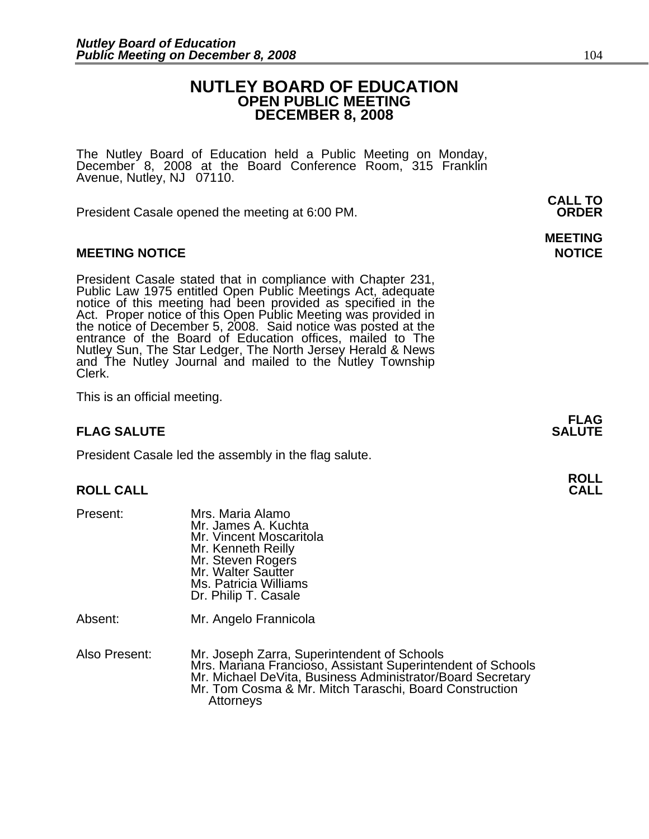### **NUTLEY BOARD OF EDUCATION OPEN PUBLIC MEETING DECEMBER 8, 2008**

The Nutley Board of Education held a Public Meeting on Monday, December 8, 2008 at the Board Conference Room, 315 Franklin Avenue, Nutley, NJ 07110.

 **CALL TO**  President Casale opened the meeting at 6:00 PM. **ORDER**

### **MEETING NOTICE NOTICE REPORTS AND ALCOHOL**

President Casale stated that in compliance with Chapter 231,<br>Public Law 1975 entitled Open Public Meetings Act, adequate<br>notice of this meeting had been provided as specified in the<br>Act. Proper notice of this Open Public M the notice of December 5, 2008. Said notice was posted at the<br>entrance of the Board of Education offices, mailed to The entrance of the Board of Education offices, mailed to The<br>Nutley Sun, The Star Ledger, The North Jersey Herald & News<br>and The Nutley Journal and mailed to the Nutley Township<br>Clerk.

This is an official meeting.

### **FLAG SALUTE** SALUTE SALUTE SALUTE SALUTE SALUTE

President Casale led the assembly in the flag salute.

## **ROLL ROLL CALL CALL**

- Present: Mrs. Maria Alamo Mr. James A. Kuchta Mr. Vincent Moscaritola Mr. Kenneth Reilly Mr. Steven Rogers Mr. Walter Sautter Ms. Patricia Williams Dr. Philip T. Casale Absent: Mr. Angelo Frannicola
- Also Present: Mr. Joseph Zarra, Superintendent of Schools Mr. Michael DeVita, Business Administrator/Board Secretary<br>Mr. Tom Cosma & Mr. Mitch Taraschi, Board Construction Attorneys

# **MEETING**

**FLAG**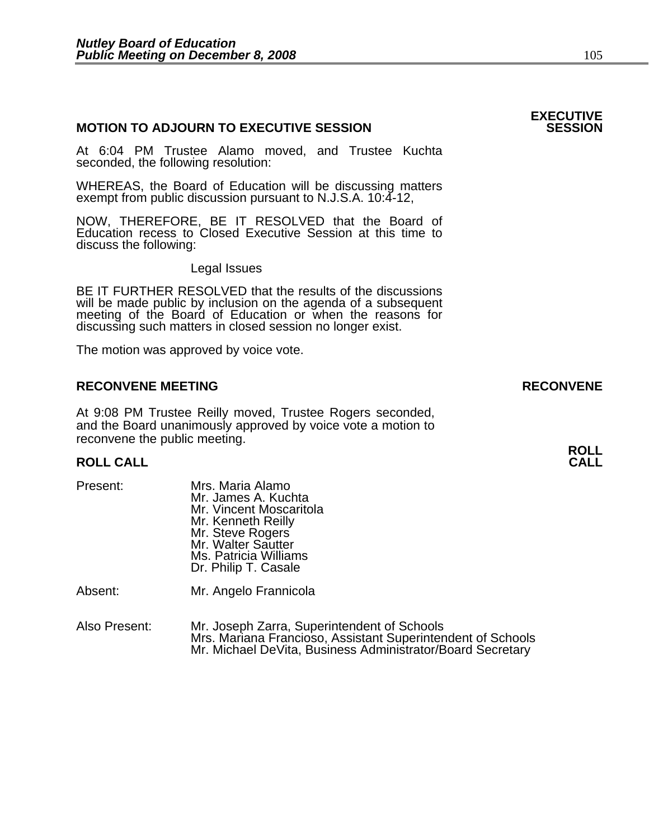### **MOTION TO ADJOURN TO EXECUTIVE SESSION**

At 6:04 PM Trustee Alamo moved, and Trustee Kuchta seconded, the following resolution:

WHEREAS, the Board of Education will be discussing matters exempt from public discussion pursuant to N.J.S.A. 10:4-12,

NOW, THEREFORE, BE IT RESOLVED that the Board of Education recess to Closed Executive Session at this time to discuss the following:

Legal Issues

 BE IT FURTHER RESOLVED that the results of the discussions will be made public by inclusion on the agenda of a subsequent meeting of the Board of Education or when the reasons for discussing such matters in closed session no longer exist.

The motion was approved by voice vote.

### **RECONVENE MEETING RECONVENE**

At 9:08 PM Trustee Reilly moved, Trustee Rogers seconded, and the Board unanimously approved by voice vote a motion to reconvene the public meeting.

### **ROLL ROLL CALL CALL**

| Present: | Mrs. Maria Alamo<br>Mr. James A. Kuchta<br>Mr. Vincent Moscaritola<br>Mr. Kenneth Reilly<br>Mr. Steve Rogers<br>Mr. Walter Sautter<br>Ms. Patricia Williams<br>Dr. Philip T. Casale |
|----------|-------------------------------------------------------------------------------------------------------------------------------------------------------------------------------------|
| Absent:  | Mr. Angelo Frannicola                                                                                                                                                               |

Also Present: Mr. Joseph Zarra, Superintendent of Schools Mr. Michael DeVita, Business Administrator/Board Secretary

## **EXECUTIVE**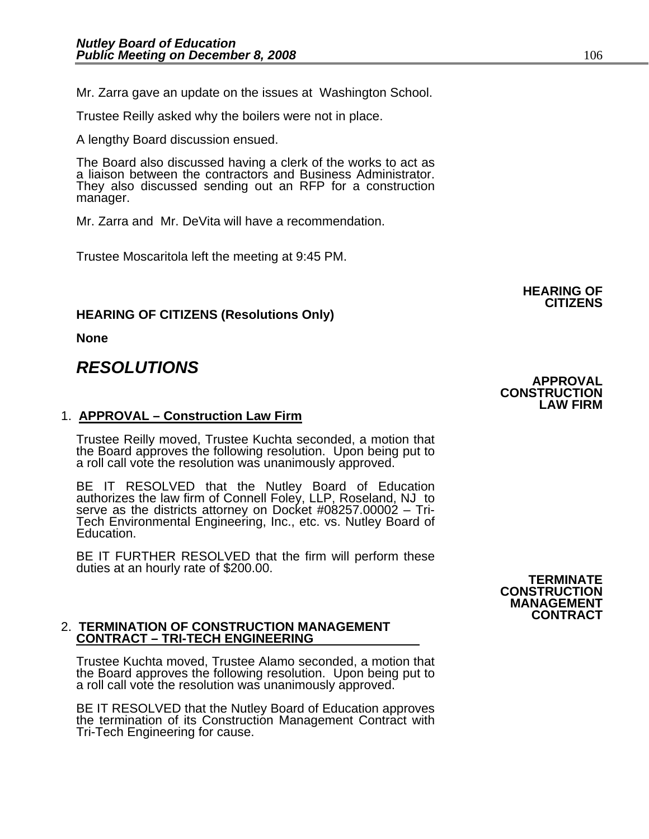Mr. Zarra gave an update on the issues at Washington School.

Trustee Reilly asked why the boilers were not in place.

A lengthy Board discussion ensued.

The Board also discussed having a clerk of the works to act as a liaison between the contractors and Business Administrator. They also discussed sending out an RFP for a construction manager.

Mr. Zarra and Mr. DeVita will have a recommendation.

Trustee Moscaritola left the meeting at 9:45 PM.

### **HEARING OF CITIZENS (Resolutions Only)**

**None** 

### *RESOLUTIONS*

### 1. **APPROVAL – Construction Law Firm**

Trustee Reilly moved, Trustee Kuchta seconded, a motion that the Board approves the following resolution. Upon being put to a roll call vote the resolution was unanimously approved.

BE IT RESOLVED that the Nutley Board of Education authorizes the law firm of Connell Foley, LLP, Roseland, NJ to serve as the districts attorney on Docket #08257.00002 – Tri-Tech Environmental Engineering, Inc., etc. vs. Nutley Board of Education.

BE IT FURTHER RESOLVED that the firm will perform these<br>duties at an hourly rate of \$200.00.<br>**TERMINATE** 

#### 2. **TERMINATION OF CONSTRUCTION MANAGEMENT CONTRACT – TRI-TECH ENGINEERING**

Trustee Kuchta moved, Trustee Alamo seconded, a motion that the Board approves the following resolution. Upon being put to a roll call vote the resolution was unanimously approved.

BE IT RESOLVED that the Nutley Board of Education approves the termination of its Construction Management Contract with Tri-Tech Engineering for cause.

# **CONSTRUCTION MANAGEMENT CONTRACT**

**APPROVAL CONSTRUCTION**

**LAW FIRM** 

**HEARING OF CITIZENS**